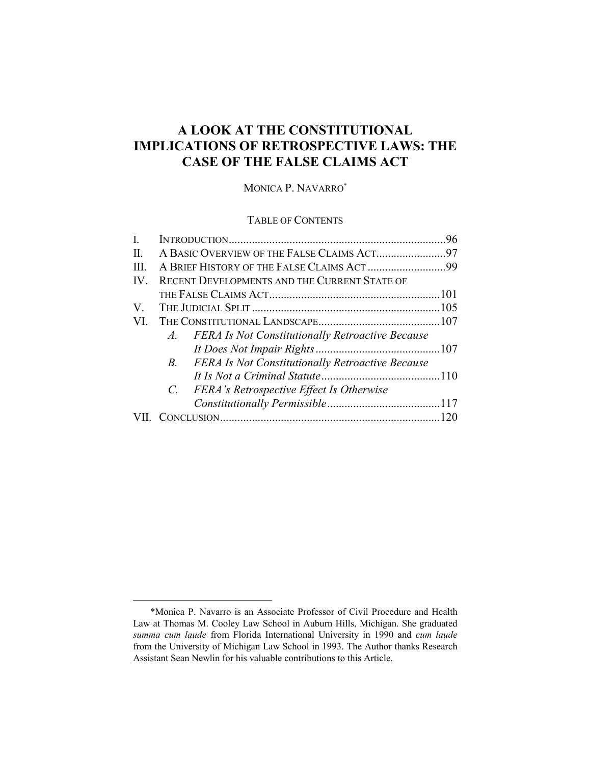# **A LOOK AT THE CONSTITUTIONAL IMPLICATIONS OF RETROSPECTIVE LAWS: THE CASE OF THE FALSE CLAIMS ACT**

# MONICA P. NAVARRO\*

## TABLE OF CONTENTS

| L            |                                                                  | .96 |
|--------------|------------------------------------------------------------------|-----|
| $\mathbf{H}$ |                                                                  |     |
| $\mathbf{H}$ | A BRIEF HISTORY OF THE FALSE CLAIMS ACT 99                       |     |
| IV.          | RECENT DEVELOPMENTS AND THE CURRENT STATE OF                     |     |
|              |                                                                  |     |
| $V_{\rm{r}}$ |                                                                  |     |
| VI.          |                                                                  |     |
|              | A. FERA Is Not Constitutionally Retroactive Because              |     |
|              |                                                                  |     |
|              | <b>FERA Is Not Constitutionally Retroactive Because</b><br>$B$ . |     |
|              |                                                                  |     |
|              | FERA's Retrospective Effect Is Otherwise<br>$C_{\cdot}$          |     |
|              |                                                                  |     |
|              |                                                                  |     |
|              |                                                                  |     |

 <sup>\*</sup>Monica P. Navarro is an Associate Professor of Civil Procedure and Health Law at Thomas M. Cooley Law School in Auburn Hills, Michigan. She graduated *summa cum laude* from Florida International University in 1990 and *cum laude*  from the University of Michigan Law School in 1993. The Author thanks Research Assistant Sean Newlin for his valuable contributions to this Article.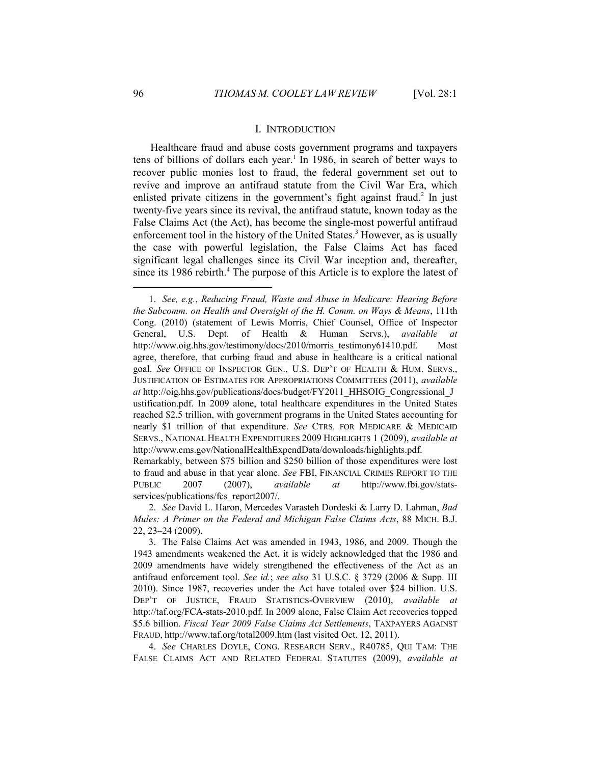#### I. INTRODUCTION

Healthcare fraud and abuse costs government programs and taxpayers tens of billions of dollars each year.<sup>1</sup> In 1986, in search of better ways to recover public monies lost to fraud, the federal government set out to revive and improve an antifraud statute from the Civil War Era, which enlisted private citizens in the government's fight against fraud.<sup>2</sup> In just twenty-five years since its revival, the antifraud statute, known today as the False Claims Act (the Act), has become the single-most powerful antifraud enforcement tool in the history of the United States.<sup>3</sup> However, as is usually the case with powerful legislation, the False Claims Act has faced significant legal challenges since its Civil War inception and, thereafter, since its 1986 rebirth.<sup>4</sup> The purpose of this Article is to explore the latest of

Remarkably, between \$75 billion and \$250 billion of those expenditures were lost to fraud and abuse in that year alone. *See* FBI, FINANCIAL CRIMES REPORT TO THE PUBLIC 2007 (2007), *available at* http://www.fbi.gov/statsservices/publications/fcs\_report2007/.

 2. *See* David L. Haron, Mercedes Varasteh Dordeski & Larry D. Lahman, *Bad Mules: A Primer on the Federal and Michigan False Claims Acts*, 88 MICH. B.J. 22, 23–24 (2009).

 4. *See* CHARLES DOYLE, CONG. RESEARCH SERV., R40785, QUI TAM: THE FALSE CLAIMS ACT AND RELATED FEDERAL STATUTES (2009), *available at*

 <sup>1.</sup> *See, e.g.*, *Reducing Fraud, Waste and Abuse in Medicare: Hearing Before the Subcomm. on Health and Oversight of the H. Comm. on Ways & Means*, 111th Cong. (2010) (statement of Lewis Morris, Chief Counsel, Office of Inspector General, U.S. Dept. of Health & Human Servs.), *available at*  http://www.oig.hhs.gov/testimony/docs/2010/morris\_testimony61410.pdf. Most agree, therefore, that curbing fraud and abuse in healthcare is a critical national goal. *See* OFFICE OF INSPECTOR GEN., U.S. DEP'T OF HEALTH & HUM. SERVS., JUSTIFICATION OF ESTIMATES FOR APPROPRIATIONS COMMITTEES (2011), *available at* http://oig.hhs.gov/publications/docs/budget/FY2011\_HHSOIG\_Congressional\_J ustification.pdf. In 2009 alone, total healthcare expenditures in the United States reached \$2.5 trillion, with government programs in the United States accounting for nearly \$1 trillion of that expenditure. *See* CTRS. FOR MEDICARE & MEDICAID SERVS., NATIONAL HEALTH EXPENDITURES 2009 HIGHLIGHTS 1 (2009), *available at* http://www.cms.gov/NationalHealthExpendData/downloads/highlights.pdf.

 <sup>3.</sup> The False Claims Act was amended in 1943, 1986, and 2009. Though the 1943 amendments weakened the Act, it is widely acknowledged that the 1986 and 2009 amendments have widely strengthened the effectiveness of the Act as an antifraud enforcement tool. *See id.*; *see also* 31 U.S.C. § 3729 (2006 & Supp. III 2010). Since 1987, recoveries under the Act have totaled over \$24 billion. U.S. DEP'T OF JUSTICE, FRAUD STATISTICS-OVERVIEW (2010), *available at* http://taf.org/FCA-stats-2010.pdf. In 2009 alone, False Claim Act recoveries topped \$5.6 billion. *Fiscal Year 2009 False Claims Act Settlements*, TAXPAYERS AGAINST FRAUD, http://www.taf.org/total2009.htm (last visited Oct. 12, 2011).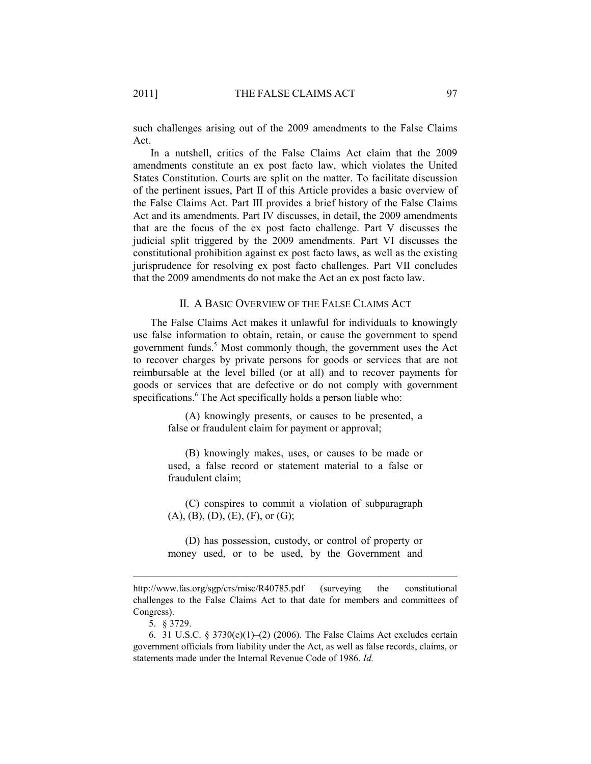such challenges arising out of the 2009 amendments to the False Claims Act.

In a nutshell, critics of the False Claims Act claim that the 2009 amendments constitute an ex post facto law, which violates the United States Constitution. Courts are split on the matter. To facilitate discussion of the pertinent issues, Part II of this Article provides a basic overview of the False Claims Act. Part III provides a brief history of the False Claims Act and its amendments. Part IV discusses, in detail, the 2009 amendments that are the focus of the ex post facto challenge. Part V discusses the judicial split triggered by the 2009 amendments. Part VI discusses the constitutional prohibition against ex post facto laws, as well as the existing jurisprudence for resolving ex post facto challenges. Part VII concludes that the 2009 amendments do not make the Act an ex post facto law.

#### II. A BASIC OVERVIEW OF THE FALSE CLAIMS ACT

The False Claims Act makes it unlawful for individuals to knowingly use false information to obtain, retain, or cause the government to spend government funds.<sup>5</sup> Most commonly though, the government uses the Act to recover charges by private persons for goods or services that are not reimbursable at the level billed (or at all) and to recover payments for goods or services that are defective or do not comply with government specifications.<sup>6</sup> The Act specifically holds a person liable who:

> (A) knowingly presents, or causes to be presented, a false or fraudulent claim for payment or approval;

> (B) knowingly makes, uses, or causes to be made or used, a false record or statement material to a false or fraudulent claim;

> (C) conspires to commit a violation of subparagraph  $(A), (B), (D), (E), (F),$  or  $(G);$

> (D) has possession, custody, or control of property or money used, or to be used, by the Government and

http://www.fas.org/sgp/crs/misc/R40785.pdf (surveying the constitutional challenges to the False Claims Act to that date for members and committees of Congress).

 <sup>5. § 3729.</sup> 

 <sup>6. 31</sup> U.S.C. § 3730(e)(1)–(2) (2006). The False Claims Act excludes certain government officials from liability under the Act, as well as false records, claims, or statements made under the Internal Revenue Code of 1986. *Id.*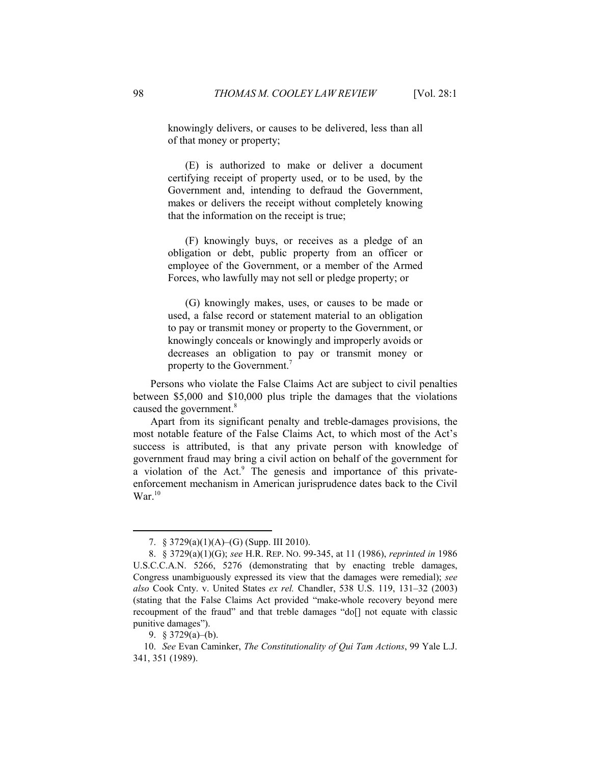knowingly delivers, or causes to be delivered, less than all of that money or property;

(E) is authorized to make or deliver a document certifying receipt of property used, or to be used, by the Government and, intending to defraud the Government, makes or delivers the receipt without completely knowing that the information on the receipt is true;

(F) knowingly buys, or receives as a pledge of an obligation or debt, public property from an officer or employee of the Government, or a member of the Armed Forces, who lawfully may not sell or pledge property; or

(G) knowingly makes, uses, or causes to be made or used, a false record or statement material to an obligation to pay or transmit money or property to the Government, or knowingly conceals or knowingly and improperly avoids or decreases an obligation to pay or transmit money or property to the Government.<sup>7</sup>

Persons who violate the False Claims Act are subject to civil penalties between \$5,000 and \$10,000 plus triple the damages that the violations caused the government.<sup>8</sup>

Apart from its significant penalty and treble-damages provisions, the most notable feature of the False Claims Act, to which most of the Act's success is attributed, is that any private person with knowledge of government fraud may bring a civil action on behalf of the government for a violation of the Act.<sup>9</sup> The genesis and importance of this privateenforcement mechanism in American jurisprudence dates back to the Civil War $10$ 

 <sup>7. § 3729(</sup>a)(1)(A)–(G) (Supp. III 2010).

 <sup>8. § 3729(</sup>a)(1)(G); *see* H.R. REP. NO. 99-345, at 11 (1986), *reprinted in* 1986 U.S.C.C.A.N. 5266, 5276 (demonstrating that by enacting treble damages, Congress unambiguously expressed its view that the damages were remedial); *see also* Cook Cnty. v. United States *ex rel.* Chandler, 538 U.S. 119, 131–32 (2003) (stating that the False Claims Act provided "make-whole recovery beyond mere recoupment of the fraud" and that treble damages "do[] not equate with classic punitive damages").

 <sup>9. § 3729(</sup>a)–(b).

 <sup>10.</sup> *See* Evan Caminker, *The Constitutionality of Qui Tam Actions*, 99 Yale L.J. 341, 351 (1989).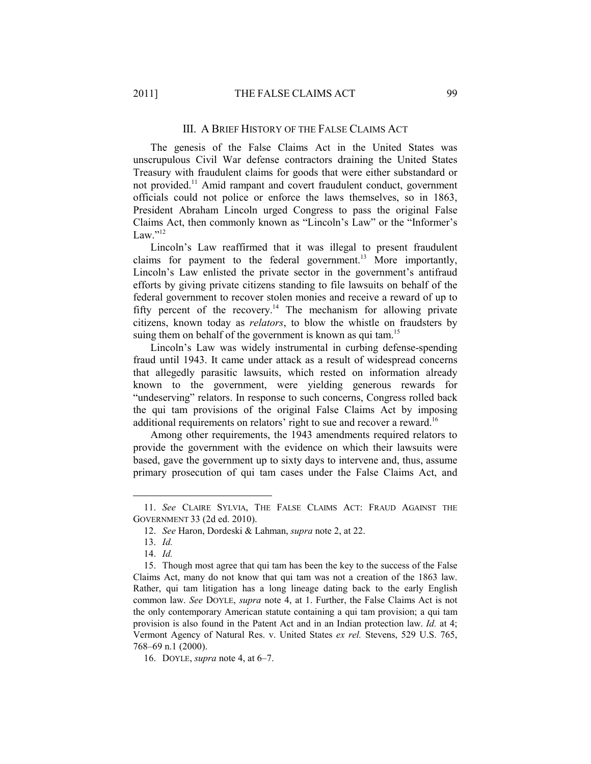#### III. A BRIEF HISTORY OF THE FALSE CLAIMS ACT

The genesis of the False Claims Act in the United States was unscrupulous Civil War defense contractors draining the United States Treasury with fraudulent claims for goods that were either substandard or not provided.11 Amid rampant and covert fraudulent conduct, government officials could not police or enforce the laws themselves, so in 1863, President Abraham Lincoln urged Congress to pass the original False Claims Act, then commonly known as "Lincoln's Law" or the "Informer's Law." $^{12}$ 

Lincoln's Law reaffirmed that it was illegal to present fraudulent claims for payment to the federal government.<sup>13</sup> More importantly, Lincoln's Law enlisted the private sector in the government's antifraud efforts by giving private citizens standing to file lawsuits on behalf of the federal government to recover stolen monies and receive a reward of up to fifty percent of the recovery.<sup>14</sup> The mechanism for allowing private citizens, known today as *relators*, to blow the whistle on fraudsters by suing them on behalf of the government is known as qui tam.<sup>15</sup>

Lincoln's Law was widely instrumental in curbing defense-spending fraud until 1943. It came under attack as a result of widespread concerns that allegedly parasitic lawsuits, which rested on information already known to the government, were yielding generous rewards for "undeserving" relators. In response to such concerns, Congress rolled back the qui tam provisions of the original False Claims Act by imposing additional requirements on relators' right to sue and recover a reward.<sup>16</sup>

Among other requirements, the 1943 amendments required relators to provide the government with the evidence on which their lawsuits were based, gave the government up to sixty days to intervene and, thus, assume primary prosecution of qui tam cases under the False Claims Act, and

 <sup>11.</sup> *See* CLAIRE SYLVIA, THE FALSE CLAIMS ACT: FRAUD AGAINST THE GOVERNMENT 33 (2d ed. 2010).

 <sup>12.</sup> *See* Haron, Dordeski & Lahman, *supra* note 2, at 22.

 <sup>13.</sup> *Id.*

 <sup>14.</sup> *Id.*

 <sup>15.</sup> Though most agree that qui tam has been the key to the success of the False Claims Act, many do not know that qui tam was not a creation of the 1863 law. Rather, qui tam litigation has a long lineage dating back to the early English common law. *See* DOYLE, *supra* note 4, at 1. Further, the False Claims Act is not the only contemporary American statute containing a qui tam provision; a qui tam provision is also found in the Patent Act and in an Indian protection law. *Id.* at 4; Vermont Agency of Natural Res. v. United States *ex rel.* Stevens, 529 U.S. 765, 768–69 n.1 (2000).

 <sup>16.</sup> DOYLE, *supra* note 4, at 6–7.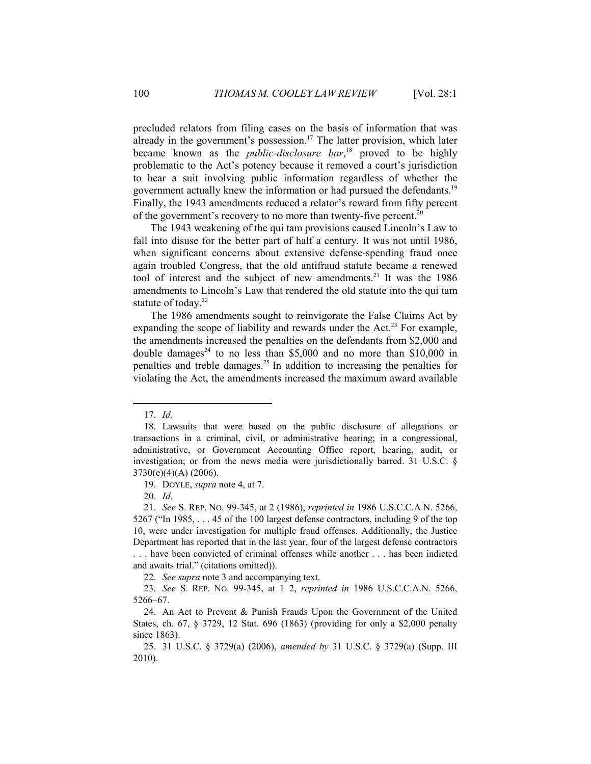precluded relators from filing cases on the basis of information that was already in the government's possession.<sup>17</sup> The latter provision, which later became known as the *public-disclosure bar*, 18 proved to be highly problematic to the Act's potency because it removed a court's jurisdiction to hear a suit involving public information regardless of whether the government actually knew the information or had pursued the defendants.19 Finally, the 1943 amendments reduced a relator's reward from fifty percent of the government's recovery to no more than twenty-five percent.<sup>20</sup>

The 1943 weakening of the qui tam provisions caused Lincoln's Law to fall into disuse for the better part of half a century. It was not until 1986, when significant concerns about extensive defense-spending fraud once again troubled Congress, that the old antifraud statute became a renewed tool of interest and the subject of new amendments.<sup>21</sup> It was the 1986 amendments to Lincoln's Law that rendered the old statute into the qui tam statute of today.<sup>22</sup>

The 1986 amendments sought to reinvigorate the False Claims Act by expanding the scope of liability and rewards under the Act.<sup>23</sup> For example, the amendments increased the penalties on the defendants from \$2,000 and double damages<sup>24</sup> to no less than \$5,000 and no more than \$10,000 in penalties and treble damages.<sup>25</sup> In addition to increasing the penalties for violating the Act, the amendments increased the maximum award available

 <sup>17.</sup> *Id.*

 <sup>18.</sup> Lawsuits that were based on the public disclosure of allegations or transactions in a criminal, civil, or administrative hearing; in a congressional, administrative, or Government Accounting Office report, hearing, audit, or investigation; or from the news media were jurisdictionally barred. 31 U.S.C. §  $3730(e)(4)(A) (2006)$ .

 <sup>19.</sup> DOYLE, *supra* note 4, at 7.

 <sup>20.</sup> *Id.*

 <sup>21.</sup> *See* S. REP. NO. 99-345, at 2 (1986), *reprinted in* 1986 U.S.C.C.A.N. 5266, 5267 ("In 1985, . . . 45 of the 100 largest defense contractors, including 9 of the top 10, were under investigation for multiple fraud offenses. Additionally, the Justice Department has reported that in the last year, four of the largest defense contractors . . . have been convicted of criminal offenses while another . . . has been indicted and awaits trial." (citations omitted)).

 <sup>22.</sup> *See supra* note 3 and accompanying text.

 <sup>23.</sup> *See* S. REP. NO. 99-345, at 1–2, *reprinted in* 1986 U.S.C.C.A.N. 5266, 5266–67.

 <sup>24.</sup> An Act to Prevent & Punish Frauds Upon the Government of the United States, ch. 67, § 3729, 12 Stat. 696 (1863) (providing for only a \$2,000 penalty since 1863).

 <sup>25. 31</sup> U.S.C. § 3729(a) (2006), *amended by* 31 U.S.C. § 3729(a) (Supp. III 2010).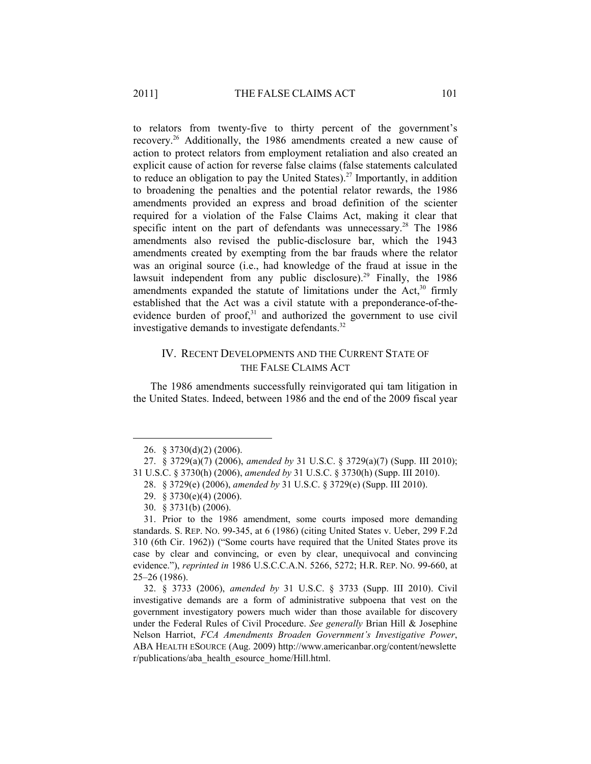to relators from twenty-five to thirty percent of the government's recovery.26 Additionally, the 1986 amendments created a new cause of action to protect relators from employment retaliation and also created an explicit cause of action for reverse false claims (false statements calculated to reduce an obligation to pay the United States).<sup>27</sup> Importantly, in addition to broadening the penalties and the potential relator rewards, the 1986 amendments provided an express and broad definition of the scienter required for a violation of the False Claims Act, making it clear that specific intent on the part of defendants was unnecessary.<sup>28</sup> The 1986 amendments also revised the public-disclosure bar, which the 1943 amendments created by exempting from the bar frauds where the relator was an original source (i.e., had knowledge of the fraud at issue in the lawsuit independent from any public disclosure).<sup>29</sup> Finally, the 1986 amendments expanded the statute of limitations under the Act, $30$  firmly established that the Act was a civil statute with a preponderance-of-theevidence burden of proof,<sup>31</sup> and authorized the government to use civil investigative demands to investigate defendants.<sup>32</sup>

## IV. RECENT DEVELOPMENTS AND THE CURRENT STATE OF THE FALSE CLAIMS ACT

The 1986 amendments successfully reinvigorated qui tam litigation in the United States. Indeed, between 1986 and the end of the 2009 fiscal year

 <sup>26. § 3730(</sup>d)(2) (2006).

 <sup>27. § 3729(</sup>a)(7) (2006), *amended by* 31 U.S.C. § 3729(a)(7) (Supp. III 2010); 31 U.S.C. § 3730(h) (2006), *amended by* 31 U.S.C. § 3730(h) (Supp. III 2010).

 <sup>28. § 3729(</sup>e) (2006), *amended by* 31 U.S.C. § 3729(e) (Supp. III 2010).

 <sup>29. § 3730(</sup>e)(4) (2006).

 <sup>30. § 3731(</sup>b) (2006).

 <sup>31.</sup> Prior to the 1986 amendment, some courts imposed more demanding standards. S. REP. NO. 99-345, at 6 (1986) (citing United States v. Ueber, 299 F.2d 310 (6th Cir. 1962)) ("Some courts have required that the United States prove its case by clear and convincing, or even by clear, unequivocal and convincing evidence."), *reprinted in* 1986 U.S.C.C.A.N. 5266, 5272; H.R. REP. NO. 99-660, at 25–26 (1986).

 <sup>32. § 3733 (2006),</sup> *amended by* 31 U.S.C. § 3733 (Supp. III 2010). Civil investigative demands are a form of administrative subpoena that vest on the government investigatory powers much wider than those available for discovery under the Federal Rules of Civil Procedure. *See generally* Brian Hill & Josephine Nelson Harriot, *FCA Amendments Broaden Government's Investigative Power*, ABA HEALTH ESOURCE (Aug. 2009) http://www.americanbar.org/content/newslette r/publications/aba\_health\_esource\_home/Hill.html.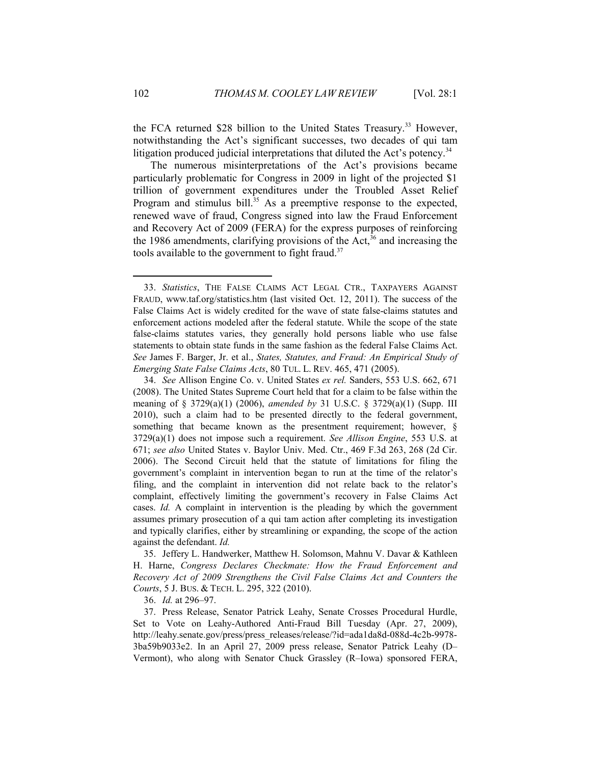the FCA returned \$28 billion to the United States Treasury.<sup>33</sup> However, notwithstanding the Act's significant successes, two decades of qui tam litigation produced judicial interpretations that diluted the Act's potency.<sup>34</sup>

The numerous misinterpretations of the Act's provisions became particularly problematic for Congress in 2009 in light of the projected \$1 trillion of government expenditures under the Troubled Asset Relief Program and stimulus bill.<sup>35</sup> As a preemptive response to the expected, renewed wave of fraud, Congress signed into law the Fraud Enforcement and Recovery Act of 2009 (FERA) for the express purposes of reinforcing the 1986 amendments, clarifying provisions of the Act,<sup>36</sup> and increasing the tools available to the government to fight fraud. $37$ 

 35. Jeffery L. Handwerker, Matthew H. Solomson, Mahnu V. Davar & Kathleen H. Harne, *Congress Declares Checkmate: How the Fraud Enforcement and Recovery Act of 2009 Strengthens the Civil False Claims Act and Counters the Courts*, 5 J. BUS. & TECH. L. 295, 322 (2010).

36. *Id.* at 296–97.

 <sup>33.</sup> *Statistics*, THE FALSE CLAIMS ACT LEGAL CTR., TAXPAYERS AGAINST FRAUD, www.taf.org/statistics.htm (last visited Oct. 12, 2011). The success of the False Claims Act is widely credited for the wave of state false-claims statutes and enforcement actions modeled after the federal statute. While the scope of the state false-claims statutes varies, they generally hold persons liable who use false statements to obtain state funds in the same fashion as the federal False Claims Act. *See* James F. Barger, Jr. et al., *States, Statutes, and Fraud: An Empirical Study of Emerging State False Claims Acts*, 80 TUL. L. REV. 465, 471 (2005).

 <sup>34.</sup> *See* Allison Engine Co. v. United States *ex rel.* Sanders, 553 U.S. 662, 671 (2008). The United States Supreme Court held that for a claim to be false within the meaning of § 3729(a)(1) (2006), *amended by* 31 U.S.C. § 3729(a)(1) (Supp. III 2010), such a claim had to be presented directly to the federal government, something that became known as the presentment requirement; however, § 3729(a)(1) does not impose such a requirement. *See Allison Engine*, 553 U.S. at 671; *see also* United States v. Baylor Univ. Med. Ctr., 469 F.3d 263, 268 (2d Cir. 2006). The Second Circuit held that the statute of limitations for filing the government's complaint in intervention began to run at the time of the relator's filing, and the complaint in intervention did not relate back to the relator's complaint, effectively limiting the government's recovery in False Claims Act cases. *Id.* A complaint in intervention is the pleading by which the government assumes primary prosecution of a qui tam action after completing its investigation and typically clarifies, either by streamlining or expanding, the scope of the action against the defendant. *Id.*

 <sup>37.</sup> Press Release, Senator Patrick Leahy, Senate Crosses Procedural Hurdle, Set to Vote on Leahy-Authored Anti-Fraud Bill Tuesday (Apr. 27, 2009), http://leahy.senate.gov/press/press\_releases/release/?id=ada1da8d-088d-4c2b-9978-3ba59b9033e2. In an April 27, 2009 press release, Senator Patrick Leahy (D– Vermont), who along with Senator Chuck Grassley (R–Iowa) sponsored FERA,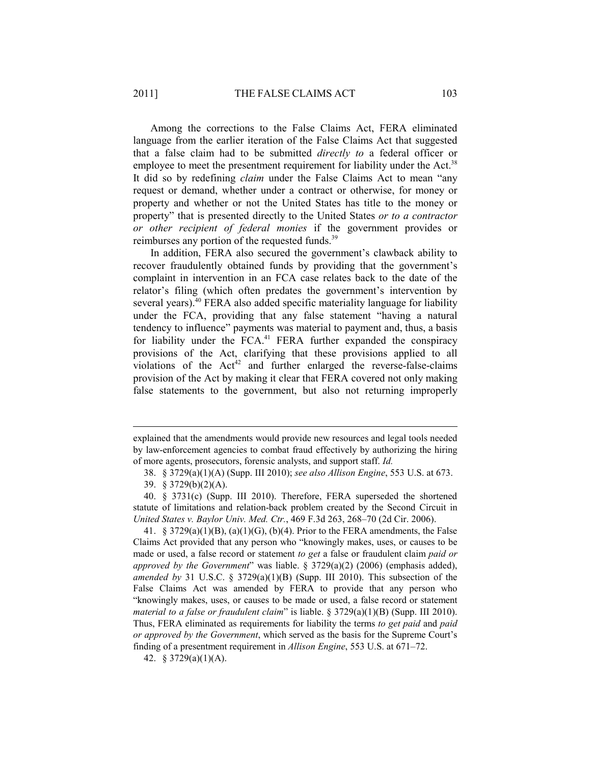Among the corrections to the False Claims Act, FERA eliminated language from the earlier iteration of the False Claims Act that suggested that a false claim had to be submitted *directly to* a federal officer or employee to meet the presentment requirement for liability under the Act.<sup>38</sup> It did so by redefining *claim* under the False Claims Act to mean "any request or demand, whether under a contract or otherwise, for money or property and whether or not the United States has title to the money or property" that is presented directly to the United States *or to a contractor or other recipient of federal monies* if the government provides or reimburses any portion of the requested funds.<sup>39</sup>

In addition, FERA also secured the government's clawback ability to recover fraudulently obtained funds by providing that the government's complaint in intervention in an FCA case relates back to the date of the relator's filing (which often predates the government's intervention by several years).<sup>40</sup> FERA also added specific materiality language for liability under the FCA, providing that any false statement "having a natural tendency to influence" payments was material to payment and, thus, a basis for liability under the FCA.<sup>41</sup> FERA further expanded the conspiracy provisions of the Act, clarifying that these provisions applied to all violations of the  $Act^{42}$  and further enlarged the reverse-false-claims provision of the Act by making it clear that FERA covered not only making false statements to the government, but also not returning improperly

1

 41. § 3729(a)(1)(B), (a)(1)(G), (b)(4). Prior to the FERA amendments, the False Claims Act provided that any person who "knowingly makes, uses, or causes to be made or used, a false record or statement *to get* a false or fraudulent claim *paid or approved by the Government*" was liable. § 3729(a)(2) (2006) (emphasis added), *amended by* 31 U.S.C. § 3729(a)(1)(B) (Supp. III 2010). This subsection of the False Claims Act was amended by FERA to provide that any person who "knowingly makes, uses, or causes to be made or used, a false record or statement *material to a false or fraudulent claim*" is liable. § 3729(a)(1)(B) (Supp. III 2010). Thus, FERA eliminated as requirements for liability the terms *to get paid* and *paid or approved by the Government*, which served as the basis for the Supreme Court's finding of a presentment requirement in *Allison Engine*, 553 U.S. at 671–72.

42. § 3729(a)(1)(A).

explained that the amendments would provide new resources and legal tools needed by law-enforcement agencies to combat fraud effectively by authorizing the hiring of more agents, prosecutors, forensic analysts, and support staff. *Id.*

 <sup>38. § 3729(</sup>a)(1)(A) (Supp. III 2010); *see also Allison Engine*, 553 U.S. at 673.

 <sup>39. § 3729(</sup>b)(2)(A).

 <sup>40. § 3731(</sup>c) (Supp. III 2010). Therefore, FERA superseded the shortened statute of limitations and relation-back problem created by the Second Circuit in *United States v. Baylor Univ. Med. Ctr.*, 469 F.3d 263, 268–70 (2d Cir. 2006).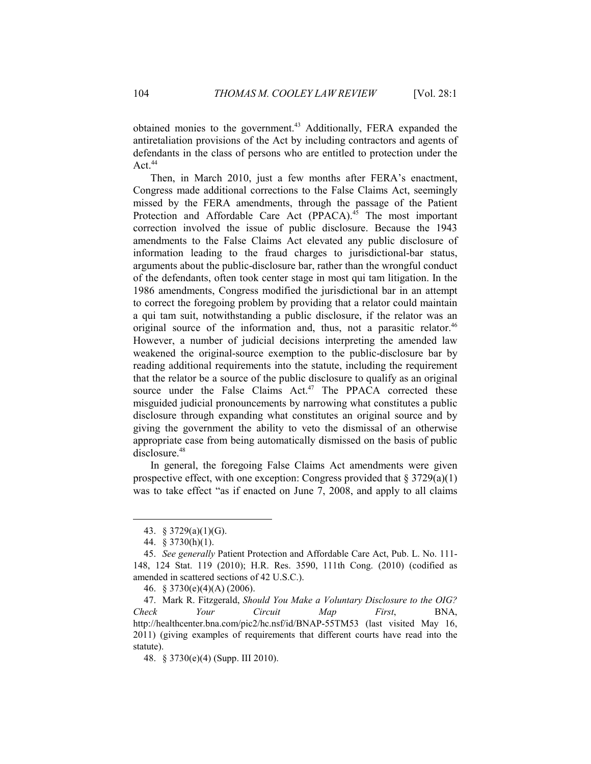obtained monies to the government.<sup>43</sup> Additionally, FERA expanded the antiretaliation provisions of the Act by including contractors and agents of defendants in the class of persons who are entitled to protection under the Act. $44$ 

Then, in March 2010, just a few months after FERA's enactment, Congress made additional corrections to the False Claims Act, seemingly missed by the FERA amendments, through the passage of the Patient Protection and Affordable Care Act (PPACA).<sup>45</sup> The most important correction involved the issue of public disclosure. Because the 1943 amendments to the False Claims Act elevated any public disclosure of information leading to the fraud charges to jurisdictional-bar status, arguments about the public-disclosure bar, rather than the wrongful conduct of the defendants, often took center stage in most qui tam litigation. In the 1986 amendments, Congress modified the jurisdictional bar in an attempt to correct the foregoing problem by providing that a relator could maintain a qui tam suit, notwithstanding a public disclosure, if the relator was an original source of the information and, thus, not a parasitic relator.<sup>46</sup> However, a number of judicial decisions interpreting the amended law weakened the original-source exemption to the public-disclosure bar by reading additional requirements into the statute, including the requirement that the relator be a source of the public disclosure to qualify as an original source under the False Claims Act.<sup>47</sup> The PPACA corrected these misguided judicial pronouncements by narrowing what constitutes a public disclosure through expanding what constitutes an original source and by giving the government the ability to veto the dismissal of an otherwise appropriate case from being automatically dismissed on the basis of public disclosure.<sup>48</sup>

In general, the foregoing False Claims Act amendments were given prospective effect, with one exception: Congress provided that  $\S 3729(a)(1)$ was to take effect "as if enacted on June 7, 2008, and apply to all claims

 <sup>43. § 3729(</sup>a)(1)(G).

 <sup>44. § 3730(</sup>h)(1).

 <sup>45.</sup> *See generally* Patient Protection and Affordable Care Act, Pub. L. No. 111- 148, 124 Stat. 119 (2010); H.R. Res. 3590, 111th Cong. (2010) (codified as amended in scattered sections of 42 U.S.C.).

 <sup>46. § 3730(</sup>e)(4)(A) (2006).

 <sup>47.</sup> Mark R. Fitzgerald, *Should You Make a Voluntary Disclosure to the OIG? Check Your Circuit Map First*, BNA, http://healthcenter.bna.com/pic2/hc.nsf/id/BNAP-55TM53 (last visited May 16, 2011) (giving examples of requirements that different courts have read into the statute).

 <sup>48. § 3730(</sup>e)(4) (Supp. III 2010).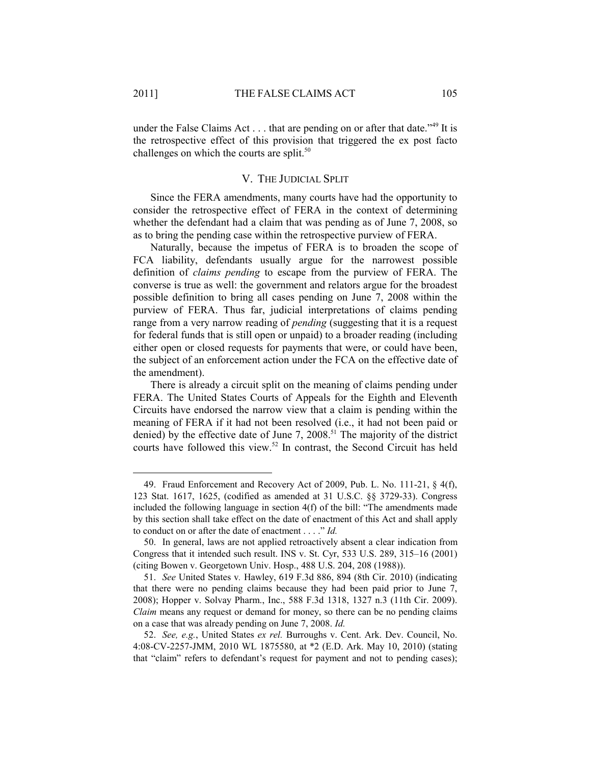under the False Claims Act  $\dots$  that are pending on or after that date.<sup> $149$ </sup> It is the retrospective effect of this provision that triggered the ex post facto challenges on which the courts are split.<sup>50</sup>

### V. THE JUDICIAL SPLIT

Since the FERA amendments, many courts have had the opportunity to consider the retrospective effect of FERA in the context of determining whether the defendant had a claim that was pending as of June 7, 2008, so as to bring the pending case within the retrospective purview of FERA.

Naturally, because the impetus of FERA is to broaden the scope of FCA liability, defendants usually argue for the narrowest possible definition of *claims pending* to escape from the purview of FERA. The converse is true as well: the government and relators argue for the broadest possible definition to bring all cases pending on June 7, 2008 within the purview of FERA. Thus far, judicial interpretations of claims pending range from a very narrow reading of *pending* (suggesting that it is a request for federal funds that is still open or unpaid) to a broader reading (including either open or closed requests for payments that were, or could have been, the subject of an enforcement action under the FCA on the effective date of the amendment).

There is already a circuit split on the meaning of claims pending under FERA. The United States Courts of Appeals for the Eighth and Eleventh Circuits have endorsed the narrow view that a claim is pending within the meaning of FERA if it had not been resolved (i.e., it had not been paid or denied) by the effective date of June 7, 2008.<sup>51</sup> The majority of the district courts have followed this view.52 In contrast, the Second Circuit has held

 <sup>49.</sup> Fraud Enforcement and Recovery Act of 2009, Pub. L. No. 111-21, § 4(f), 123 Stat. 1617, 1625, (codified as amended at 31 U.S.C. §§ 3729-33). Congress included the following language in section 4(f) of the bill: "The amendments made by this section shall take effect on the date of enactment of this Act and shall apply to conduct on or after the date of enactment . . . ." *Id.*

 <sup>50.</sup> In general, laws are not applied retroactively absent a clear indication from Congress that it intended such result. INS v. St. Cyr, 533 U.S. 289, 315–16 (2001) (citing Bowen v. Georgetown Univ. Hosp., 488 U.S. 204, 208 (1988)).

 <sup>51.</sup> *See* United States v*.* Hawley, 619 F.3d 886, 894 (8th Cir. 2010) (indicating that there were no pending claims because they had been paid prior to June 7, 2008); Hopper v. Solvay Pharm., Inc., 588 F.3d 1318, 1327 n.3 (11th Cir. 2009). *Claim* means any request or demand for money, so there can be no pending claims on a case that was already pending on June 7, 2008. *Id.*

 <sup>52.</sup> *See, e.g.*, United States *ex rel.* Burroughs v. Cent. Ark. Dev. Council, No. 4:08-CV-2257-JMM, 2010 WL 1875580, at \*2 (E.D. Ark. May 10, 2010) (stating that "claim" refers to defendant's request for payment and not to pending cases);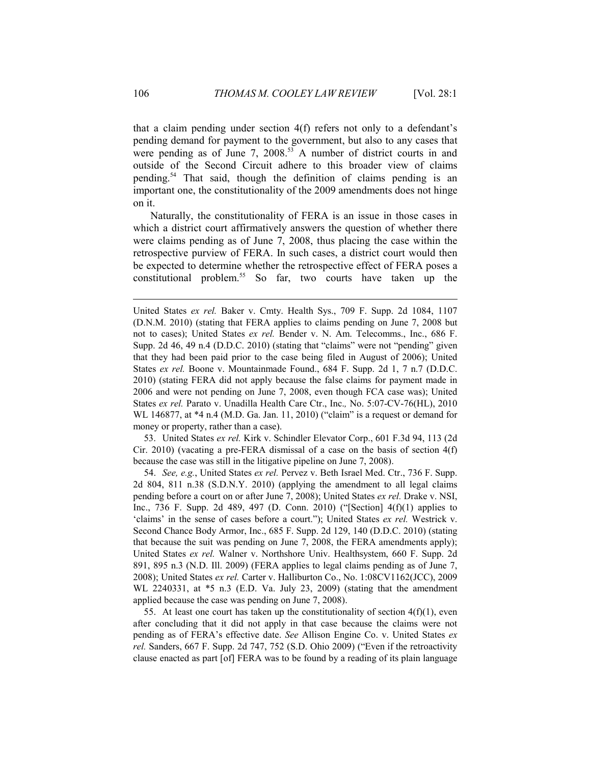that a claim pending under section 4(f) refers not only to a defendant's pending demand for payment to the government, but also to any cases that were pending as of June 7,  $2008^{53}$  A number of district courts in and outside of the Second Circuit adhere to this broader view of claims pending.54 That said, though the definition of claims pending is an important one, the constitutionality of the 2009 amendments does not hinge on it.

Naturally, the constitutionality of FERA is an issue in those cases in which a district court affirmatively answers the question of whether there were claims pending as of June 7, 2008, thus placing the case within the retrospective purview of FERA. In such cases, a district court would then be expected to determine whether the retrospective effect of FERA poses a constitutional problem.55 So far, two courts have taken up the

 53. United States *ex rel.* Kirk v. Schindler Elevator Corp., 601 F.3d 94, 113 (2d Cir. 2010) (vacating a pre-FERA dismissal of a case on the basis of section 4(f) because the case was still in the litigative pipeline on June 7, 2008).

 54. *See, e.g.*, United States *ex rel.* Pervez v. Beth Israel Med. Ctr., 736 F. Supp. 2d 804, 811 n.38 (S.D.N.Y. 2010) (applying the amendment to all legal claims pending before a court on or after June 7, 2008); United States *ex rel.* Drake v. NSI, Inc., 736 F. Supp. 2d 489, 497 (D. Conn. 2010) ("[Section] 4(f)(1) applies to 'claims' in the sense of cases before a court."); United States *ex rel.* Westrick v. Second Chance Body Armor, Inc., 685 F. Supp. 2d 129, 140 (D.D.C. 2010) (stating that because the suit was pending on June 7, 2008, the FERA amendments apply); United States *ex rel.* Walner v. Northshore Univ. Healthsystem, 660 F. Supp. 2d 891, 895 n.3 (N.D. Ill. 2009) (FERA applies to legal claims pending as of June 7, 2008); United States *ex rel.* Carter v. Halliburton Co., No. 1:08CV1162(JCC), 2009 WL 2240331, at \*5 n.3 (E.D. Va. July 23, 2009) (stating that the amendment applied because the case was pending on June 7, 2008).

55. At least one court has taken up the constitutionality of section  $4(f)(1)$ , even after concluding that it did not apply in that case because the claims were not pending as of FERA's effective date. *See* Allison Engine Co. v. United States *ex rel.* Sanders, 667 F. Supp. 2d 747, 752 (S.D. Ohio 2009) ("Even if the retroactivity clause enacted as part [of] FERA was to be found by a reading of its plain language

United States *ex rel.* Baker v. Cmty. Health Sys., 709 F. Supp. 2d 1084, 1107 (D.N.M. 2010) (stating that FERA applies to claims pending on June 7, 2008 but not to cases); United States *ex rel.* Bender v. N. Am. Telecomms., Inc., 686 F. Supp. 2d 46, 49 n.4 (D.D.C. 2010) (stating that "claims" were not "pending" given that they had been paid prior to the case being filed in August of 2006); United States *ex rel.* Boone v. Mountainmade Found., 684 F. Supp. 2d 1, 7 n.7 (D.D.C. 2010) (stating FERA did not apply because the false claims for payment made in 2006 and were not pending on June 7, 2008, even though FCA case was); United States *ex rel.* Parato v. Unadilla Health Care Ctr., Inc.*,* No. 5:07-CV-76(HL), 2010 WL 146877, at \*4 n.4 (M.D. Ga. Jan. 11, 2010) ("claim" is a request or demand for money or property, rather than a case).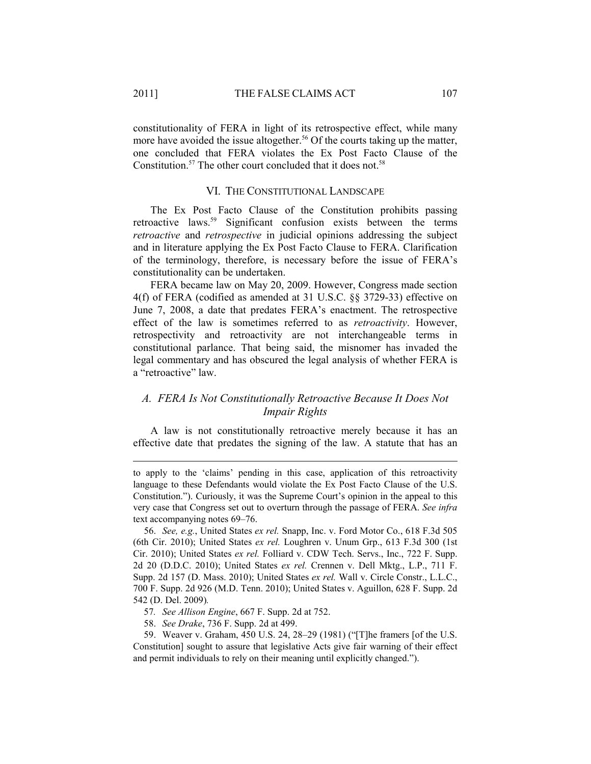constitutionality of FERA in light of its retrospective effect, while many more have avoided the issue altogether.<sup>56</sup> Of the courts taking up the matter, one concluded that FERA violates the Ex Post Facto Clause of the Constitution.<sup>57</sup> The other court concluded that it does not.<sup>58</sup>

#### VI. THE CONSTITUTIONAL LANDSCAPE

The Ex Post Facto Clause of the Constitution prohibits passing retroactive laws.<sup>59</sup> Significant confusion exists between the terms *retroactive* and *retrospective* in judicial opinions addressing the subject and in literature applying the Ex Post Facto Clause to FERA. Clarification of the terminology, therefore, is necessary before the issue of FERA's constitutionality can be undertaken.

FERA became law on May 20, 2009. However, Congress made section 4(f) of FERA (codified as amended at 31 U.S.C. §§ 3729-33) effective on June 7, 2008, a date that predates FERA's enactment. The retrospective effect of the law is sometimes referred to as *retroactivity*. However, retrospectivity and retroactivity are not interchangeable terms in constitutional parlance. That being said, the misnomer has invaded the legal commentary and has obscured the legal analysis of whether FERA is a "retroactive" law.

## *A. FERA Is Not Constitutionally Retroactive Because It Does Not Impair Rights*

A law is not constitutionally retroactive merely because it has an effective date that predates the signing of the law. A statute that has an

to apply to the 'claims' pending in this case, application of this retroactivity language to these Defendants would violate the Ex Post Facto Clause of the U.S. Constitution."). Curiously, it was the Supreme Court's opinion in the appeal to this very case that Congress set out to overturn through the passage of FERA. *See infra* text accompanying notes 69–76.

 56. *See, e.g.*, United States *ex rel.* Snapp, Inc. v. Ford Motor Co., 618 F.3d 505 (6th Cir. 2010); United States *ex rel.* Loughren v. Unum Grp., 613 F.3d 300 (1st Cir. 2010); United States *ex rel.* Folliard v. CDW Tech. Servs., Inc., 722 F. Supp. 2d 20 (D.D.C. 2010); United States *ex rel.* Crennen v. Dell Mktg., L.P., 711 F. Supp. 2d 157 (D. Mass. 2010); United States *ex rel.* Wall v. Circle Constr., L.L.C., 700 F. Supp. 2d 926 (M.D. Tenn. 2010); United States v. Aguillon, 628 F. Supp. 2d 542 (D. Del. 2009)*.*

- 57*. See Allison Engine*, 667 F. Supp. 2d at 752.
- 58. *See Drake*, 736 F. Supp. 2d at 499.

 <sup>59.</sup> Weaver v. Graham, 450 U.S. 24, 28–29 (1981) ("[T]he framers [of the U.S. Constitution] sought to assure that legislative Acts give fair warning of their effect and permit individuals to rely on their meaning until explicitly changed.").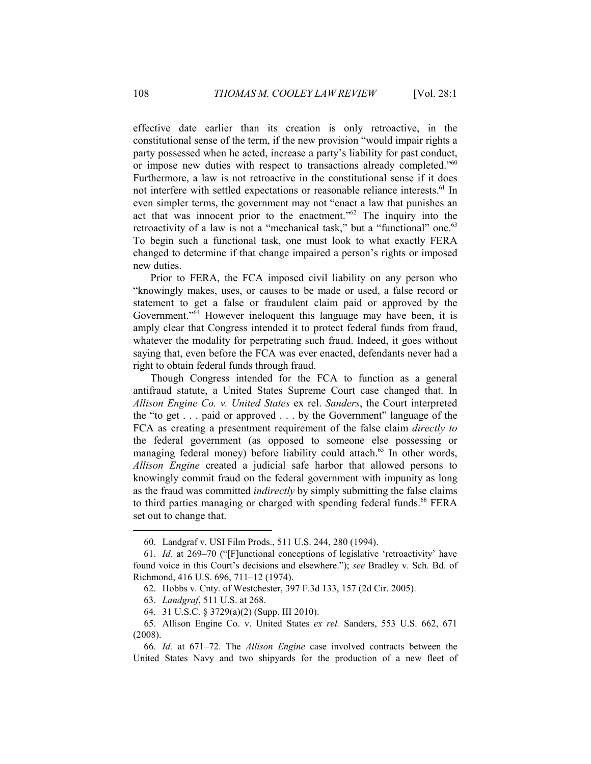effective date earlier than its creation is only retroactive, in the constitutional sense of the term, if the new provision "would impair rights a party possessed when he acted, increase a party's liability for past conduct, or impose new duties with respect to transactions already completed."<sup>60</sup> Furthermore, a law is not retroactive in the constitutional sense if it does not interfere with settled expectations or reasonable reliance interests.<sup>61</sup> In even simpler terms, the government may not "enact a law that punishes an act that was innocent prior to the enactment."62 The inquiry into the retroactivity of a law is not a "mechanical task," but a "functional" one.<sup>63</sup> To begin such a functional task, one must look to what exactly FERA changed to determine if that change impaired a person's rights or imposed new duties.

Prior to FERA, the FCA imposed civil liability on any person who "knowingly makes, uses, or causes to be made or used, a false record or statement to get a false or fraudulent claim paid or approved by the Government."<sup>64</sup> However ineloquent this language may have been, it is amply clear that Congress intended it to protect federal funds from fraud, whatever the modality for perpetrating such fraud. Indeed, it goes without saying that, even before the FCA was ever enacted, defendants never had a right to obtain federal funds through fraud.

Though Congress intended for the FCA to function as a general antifraud statute, a United States Supreme Court case changed that. In *Allison Engine Co. v. United States* ex rel. *Sanders*, the Court interpreted the "to get . . . paid or approved . . . by the Government" language of the FCA as creating a presentment requirement of the false claim *directly to*  the federal government (as opposed to someone else possessing or managing federal money) before liability could attach.<sup>65</sup> In other words, *Allison Engine* created a judicial safe harbor that allowed persons to knowingly commit fraud on the federal government with impunity as long as the fraud was committed *indirectly* by simply submitting the false claims to third parties managing or charged with spending federal funds.<sup>66</sup> FERA set out to change that.

 <sup>60.</sup> Landgraf v. USI Film Prods., 511 U.S. 244, 280 (1994).

 <sup>61.</sup> *Id.* at 269–70 ("[F]unctional conceptions of legislative 'retroactivity' have found voice in this Court's decisions and elsewhere."); *see* Bradley v. Sch. Bd. of Richmond, 416 U.S. 696, 711–12 (1974).

 <sup>62.</sup> Hobbs v. Cnty. of Westchester, 397 F.3d 133, 157 (2d Cir. 2005).

 <sup>63.</sup> *Landgraf*, 511 U.S. at 268.

 <sup>64. 31</sup> U.S.C. § 3729(a)(2) (Supp. III 2010).

 <sup>65.</sup> Allison Engine Co. v. United States *ex rel.* Sanders, 553 U.S. 662, 671 (2008).

 <sup>66.</sup> *Id.* at 671–72. The *Allison Engine* case involved contracts between the United States Navy and two shipyards for the production of a new fleet of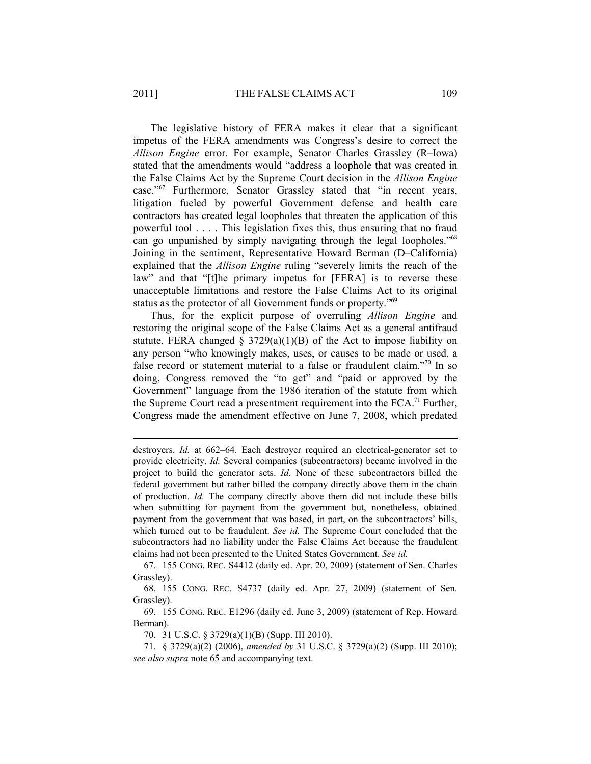The legislative history of FERA makes it clear that a significant impetus of the FERA amendments was Congress's desire to correct the *Allison Engine* error. For example, Senator Charles Grassley (R–Iowa) stated that the amendments would "address a loophole that was created in the False Claims Act by the Supreme Court decision in the *Allison Engine* case."67 Furthermore, Senator Grassley stated that "in recent years, litigation fueled by powerful Government defense and health care contractors has created legal loopholes that threaten the application of this powerful tool . . . . This legislation fixes this, thus ensuring that no fraud can go unpunished by simply navigating through the legal loopholes."<sup>68</sup> Joining in the sentiment, Representative Howard Berman (D–California) explained that the *Allison Engine* ruling "severely limits the reach of the law" and that "[t]he primary impetus for [FERA] is to reverse these unacceptable limitations and restore the False Claims Act to its original status as the protector of all Government funds or property."69

Thus, for the explicit purpose of overruling *Allison Engine* and restoring the original scope of the False Claims Act as a general antifraud statute, FERA changed  $\S$  3729(a)(1)(B) of the Act to impose liability on any person "who knowingly makes, uses, or causes to be made or used, a false record or statement material to a false or fraudulent claim."70 In so doing, Congress removed the "to get" and "paid or approved by the Government" language from the 1986 iteration of the statute from which the Supreme Court read a presentment requirement into the  $FCA$ <sup>, $71$ </sup> Further, Congress made the amendment effective on June 7, 2008, which predated

 67. 155 CONG. REC. S4412 (daily ed. Apr. 20, 2009) (statement of Sen. Charles Grassley).

 68. 155 CONG. REC. S4737 (daily ed. Apr. 27, 2009) (statement of Sen. Grassley).

 69. 155 CONG. REC. E1296 (daily ed. June 3, 2009) (statement of Rep. Howard Berman).

70. 31 U.S.C. § 3729(a)(1)(B) (Supp. III 2010).

 71. § 3729(a)(2) (2006), *amended by* 31 U.S.C. § 3729(a)(2) (Supp. III 2010); *see also supra* note 65 and accompanying text.

destroyers. *Id.* at 662–64. Each destroyer required an electrical-generator set to provide electricity. *Id.* Several companies (subcontractors) became involved in the project to build the generator sets. *Id.* None of these subcontractors billed the federal government but rather billed the company directly above them in the chain of production. *Id.* The company directly above them did not include these bills when submitting for payment from the government but, nonetheless, obtained payment from the government that was based, in part, on the subcontractors' bills, which turned out to be fraudulent. *See id.* The Supreme Court concluded that the subcontractors had no liability under the False Claims Act because the fraudulent claims had not been presented to the United States Government. *See id.*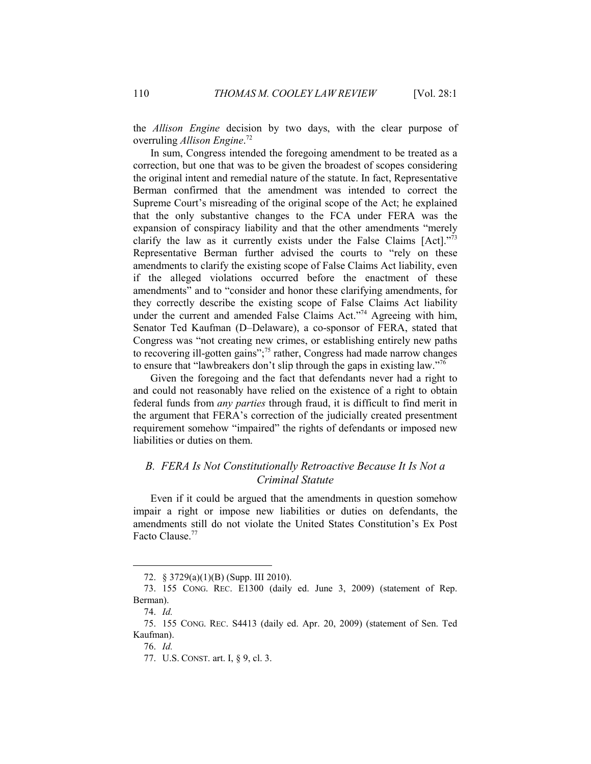the *Allison Engine* decision by two days, with the clear purpose of overruling *Allison Engine*. 72

In sum, Congress intended the foregoing amendment to be treated as a correction, but one that was to be given the broadest of scopes considering the original intent and remedial nature of the statute. In fact, Representative Berman confirmed that the amendment was intended to correct the Supreme Court's misreading of the original scope of the Act; he explained that the only substantive changes to the FCA under FERA was the expansion of conspiracy liability and that the other amendments "merely clarify the law as it currently exists under the False Claims [Act]."73 Representative Berman further advised the courts to "rely on these amendments to clarify the existing scope of False Claims Act liability, even if the alleged violations occurred before the enactment of these amendments" and to "consider and honor these clarifying amendments, for they correctly describe the existing scope of False Claims Act liability under the current and amended False Claims Act."<sup>74</sup> Agreeing with him, Senator Ted Kaufman (D–Delaware), a co-sponsor of FERA, stated that Congress was "not creating new crimes, or establishing entirely new paths to recovering ill-gotten gains";75 rather, Congress had made narrow changes to ensure that "lawbreakers don't slip through the gaps in existing law."76

Given the foregoing and the fact that defendants never had a right to and could not reasonably have relied on the existence of a right to obtain federal funds from *any parties* through fraud, it is difficult to find merit in the argument that FERA's correction of the judicially created presentment requirement somehow "impaired" the rights of defendants or imposed new liabilities or duties on them.

# *B. FERA Is Not Constitutionally Retroactive Because It Is Not a Criminal Statute*

Even if it could be argued that the amendments in question somehow impair a right or impose new liabilities or duties on defendants, the amendments still do not violate the United States Constitution's Ex Post Facto Clause.<sup>77</sup>

 <sup>72. § 3729(</sup>a)(1)(B) (Supp. III 2010).

 <sup>73. 155</sup> CONG. REC. E1300 (daily ed. June 3, 2009) (statement of Rep. Berman).

 <sup>74.</sup> *Id.*

 <sup>75. 155</sup> CONG. REC. S4413 (daily ed. Apr. 20, 2009) (statement of Sen. Ted Kaufman).

 <sup>76.</sup> *Id.*

 <sup>77.</sup> U.S. CONST. art. I, § 9, cl. 3.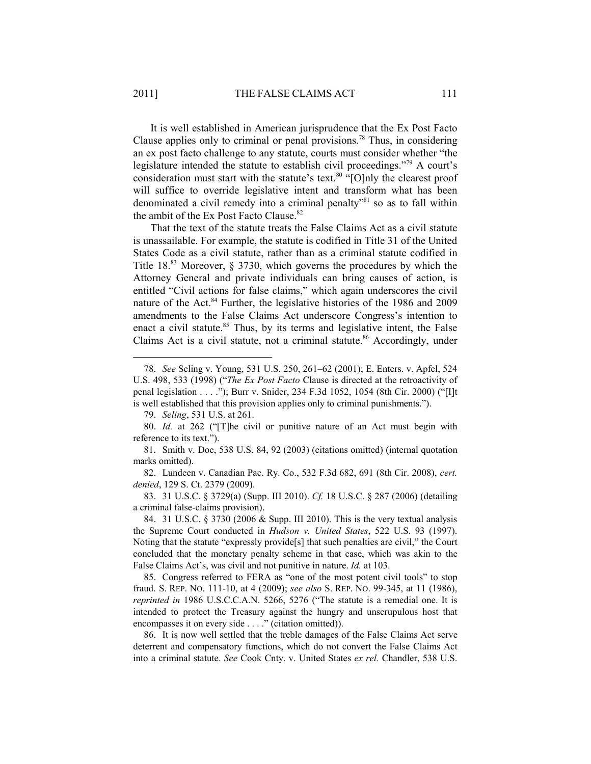It is well established in American jurisprudence that the Ex Post Facto Clause applies only to criminal or penal provisions.<sup>78</sup> Thus, in considering an ex post facto challenge to any statute, courts must consider whether "the legislature intended the statute to establish civil proceedings."79 A court's consideration must start with the statute's text. $80$  "[O]nly the clearest proof will suffice to override legislative intent and transform what has been denominated a civil remedy into a criminal penalty"81 so as to fall within the ambit of the Ex Post Facto Clause. $82$ 

That the text of the statute treats the False Claims Act as a civil statute is unassailable. For example, the statute is codified in Title 31 of the United States Code as a civil statute, rather than as a criminal statute codified in Title 18.83 Moreover, § 3730, which governs the procedures by which the Attorney General and private individuals can bring causes of action, is entitled "Civil actions for false claims," which again underscores the civil nature of the Act.<sup>84</sup> Further, the legislative histories of the 1986 and 2009 amendments to the False Claims Act underscore Congress's intention to enact a civil statute. $85$  Thus, by its terms and legislative intent, the False Claims Act is a civil statute, not a criminal statute.<sup>86</sup> Accordingly, under

 85. Congress referred to FERA as "one of the most potent civil tools" to stop fraud. S. REP. NO. 111-10, at 4 (2009); *see also* S. REP. NO. 99-345, at 11 (1986), *reprinted in* 1986 U.S.C.C.A.N. 5266, 5276 ("The statute is a remedial one. It is intended to protect the Treasury against the hungry and unscrupulous host that encompasses it on every side . . . ." (citation omitted)).

 86. It is now well settled that the treble damages of the False Claims Act serve deterrent and compensatory functions, which do not convert the False Claims Act into a criminal statute. *See* Cook Cnty. v. United States *ex rel.* Chandler, 538 U.S.

 <sup>78.</sup> *See* Seling v. Young, 531 U.S. 250, 261–62 (2001); E. Enters. v. Apfel, 524 U.S. 498, 533 (1998) ("*The Ex Post Facto* Clause is directed at the retroactivity of penal legislation . . . ."); Burr v. Snider, 234 F.3d 1052, 1054 (8th Cir. 2000) ("[I]t is well established that this provision applies only to criminal punishments.").

 <sup>79.</sup> *Seling*, 531 U.S. at 261.

 <sup>80.</sup> *Id.* at 262 ("[T]he civil or punitive nature of an Act must begin with reference to its text.").

 <sup>81.</sup> Smith v. Doe, 538 U.S. 84, 92 (2003) (citations omitted) (internal quotation marks omitted).

 <sup>82.</sup> Lundeen v. Canadian Pac. Ry. Co., 532 F.3d 682, 691 (8th Cir. 2008), *cert. denied*, 129 S. Ct. 2379 (2009).

 <sup>83. 31</sup> U.S.C. § 3729(a) (Supp. III 2010). *Cf.* 18 U.S.C. § 287 (2006) (detailing a criminal false-claims provision).

 <sup>84. 31</sup> U.S.C. § 3730 (2006 & Supp. III 2010). This is the very textual analysis the Supreme Court conducted in *Hudson v. United States*, 522 U.S. 93 (1997). Noting that the statute "expressly provide[s] that such penalties are civil," the Court concluded that the monetary penalty scheme in that case, which was akin to the False Claims Act's, was civil and not punitive in nature. *Id.* at 103.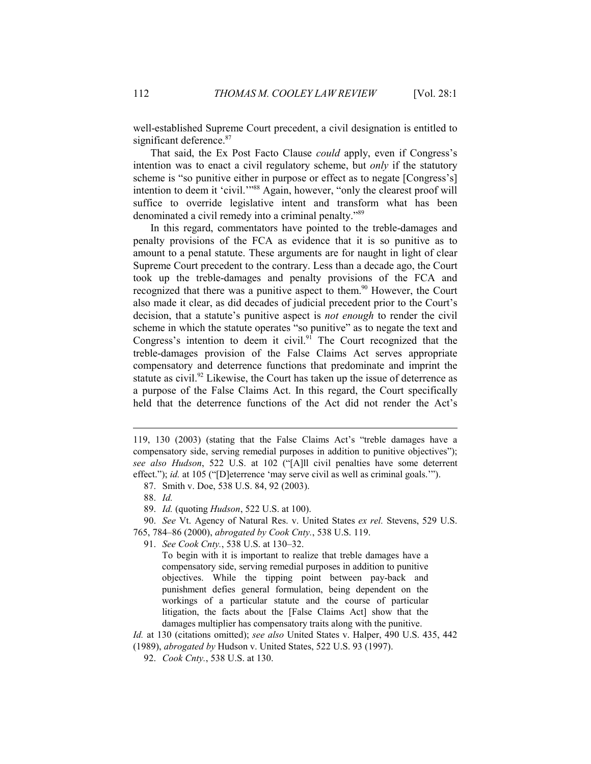well-established Supreme Court precedent, a civil designation is entitled to significant deference.<sup>87</sup>

That said, the Ex Post Facto Clause *could* apply, even if Congress's intention was to enact a civil regulatory scheme, but *only* if the statutory scheme is "so punitive either in purpose or effect as to negate [Congress's] intention to deem it 'civil.'"<sup>88</sup> Again, however, "only the clearest proof will suffice to override legislative intent and transform what has been denominated a civil remedy into a criminal penalty."<sup>89</sup>

In this regard, commentators have pointed to the treble-damages and penalty provisions of the FCA as evidence that it is so punitive as to amount to a penal statute. These arguments are for naught in light of clear Supreme Court precedent to the contrary. Less than a decade ago, the Court took up the treble-damages and penalty provisions of the FCA and recognized that there was a punitive aspect to them.<sup>90</sup> However, the Court also made it clear, as did decades of judicial precedent prior to the Court's decision, that a statute's punitive aspect is *not enough* to render the civil scheme in which the statute operates "so punitive" as to negate the text and Congress's intention to deem it civil.<sup>91</sup> The Court recognized that the treble-damages provision of the False Claims Act serves appropriate compensatory and deterrence functions that predominate and imprint the statute as civil.<sup>92</sup> Likewise, the Court has taken up the issue of deterrence as a purpose of the False Claims Act. In this regard, the Court specifically held that the deterrence functions of the Act did not render the Act's

1

- 90. *See* Vt. Agency of Natural Res. v. United States *ex rel.* Stevens, 529 U.S.
- 765, 784–86 (2000), *abrogated by Cook Cnty.*, 538 U.S. 119.
	- 91. *See Cook Cnty.*, 538 U.S. at 130–32.

To begin with it is important to realize that treble damages have a compensatory side, serving remedial purposes in addition to punitive objectives. While the tipping point between pay-back and punishment defies general formulation, being dependent on the workings of a particular statute and the course of particular litigation, the facts about the [False Claims Act] show that the damages multiplier has compensatory traits along with the punitive.

*Id.* at 130 (citations omitted); *see also* United States v. Halper, 490 U.S. 435, 442 (1989), *abrogated by* Hudson v. United States, 522 U.S. 93 (1997).

<sup>119, 130 (2003) (</sup>stating that the False Claims Act's "treble damages have a compensatory side, serving remedial purposes in addition to punitive objectives"); *see also Hudson*, 522 U.S. at 102 ("[A]ll civil penalties have some deterrent effect."); *id.* at 105 ("[D]eterrence 'may serve civil as well as criminal goals."").

 <sup>87.</sup> Smith v. Doe, 538 U.S. 84, 92 (2003).

 <sup>88.</sup> *Id.*

 <sup>89.</sup> *Id.* (quoting *Hudson*, 522 U.S. at 100).

 <sup>92.</sup> *Cook Cnty.*, 538 U.S. at 130.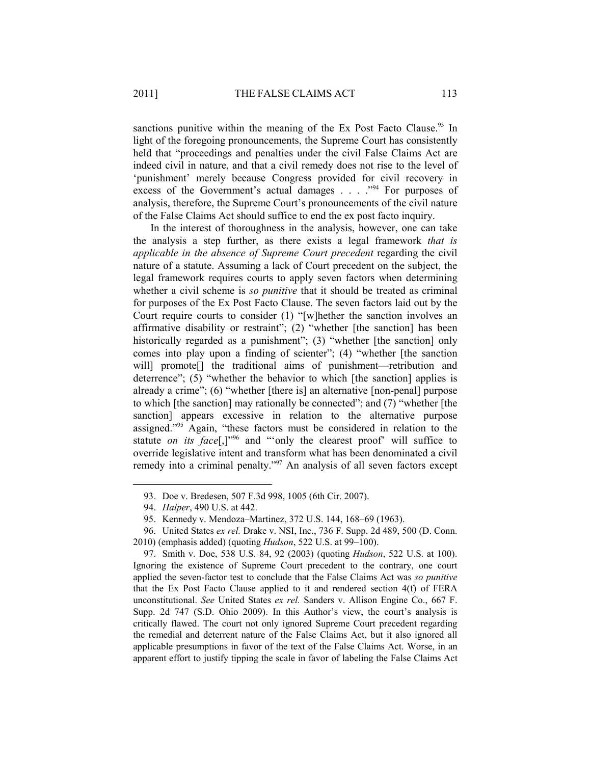sanctions punitive within the meaning of the Ex Post Facto Clause.<sup>93</sup> In light of the foregoing pronouncements, the Supreme Court has consistently held that "proceedings and penalties under the civil False Claims Act are indeed civil in nature, and that a civil remedy does not rise to the level of 'punishment' merely because Congress provided for civil recovery in excess of the Government's actual damages . . . . "<sup>94</sup> For purposes of analysis, therefore, the Supreme Court's pronouncements of the civil nature of the False Claims Act should suffice to end the ex post facto inquiry.

In the interest of thoroughness in the analysis, however, one can take the analysis a step further, as there exists a legal framework *that is applicable in the absence of Supreme Court precedent* regarding the civil nature of a statute. Assuming a lack of Court precedent on the subject, the legal framework requires courts to apply seven factors when determining whether a civil scheme is *so punitive* that it should be treated as criminal for purposes of the Ex Post Facto Clause. The seven factors laid out by the Court require courts to consider (1) "[w]hether the sanction involves an affirmative disability or restraint"; (2) "whether [the sanction] has been historically regarded as a punishment"; (3) "whether [the sanction] only comes into play upon a finding of scienter"; (4) "whether [the sanction will] promote<sup>[]</sup> the traditional aims of punishment—retribution and deterrence"; (5) "whether the behavior to which [the sanction] applies is already a crime"; (6) "whether [there is] an alternative [non-penal] purpose to which [the sanction] may rationally be connected"; and (7) "whether [the sanction] appears excessive in relation to the alternative purpose assigned."95 Again, "these factors must be considered in relation to the statute *on its face*<sup>[1,1,96</sup> and "only the clearest proof" will suffice to override legislative intent and transform what has been denominated a civil remedy into a criminal penalty."97 An analysis of all seven factors except

1

 97. Smith v. Doe, 538 U.S. 84, 92 (2003) (quoting *Hudson*, 522 U.S. at 100). Ignoring the existence of Supreme Court precedent to the contrary, one court applied the seven-factor test to conclude that the False Claims Act was *so punitive* that the Ex Post Facto Clause applied to it and rendered section 4(f) of FERA unconstitutional. *See* United States *ex rel.* Sanders v. Allison Engine Co., 667 F. Supp. 2d 747 (S.D. Ohio 2009). In this Author's view, the court's analysis is critically flawed. The court not only ignored Supreme Court precedent regarding the remedial and deterrent nature of the False Claims Act, but it also ignored all applicable presumptions in favor of the text of the False Claims Act. Worse, in an apparent effort to justify tipping the scale in favor of labeling the False Claims Act

 <sup>93.</sup> Doe v. Bredesen, 507 F.3d 998, 1005 (6th Cir. 2007).

 <sup>94.</sup> *Halper*, 490 U.S. at 442.

 <sup>95.</sup> Kennedy v. Mendoza–Martinez, 372 U.S. 144, 168–69 (1963).

 <sup>96.</sup> United States *ex rel.* Drake v. NSI, Inc., 736 F. Supp. 2d 489, 500 (D. Conn. 2010) (emphasis added) (quoting *Hudson*, 522 U.S. at 99–100).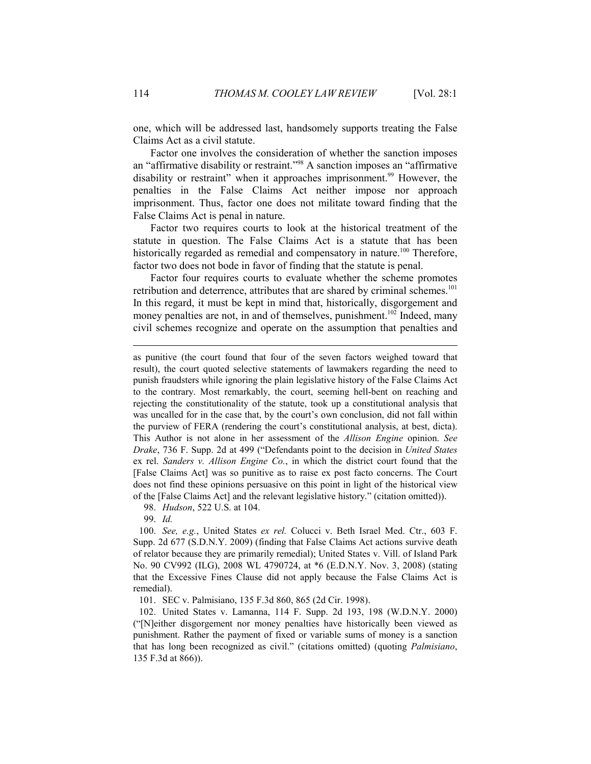one, which will be addressed last, handsomely supports treating the False Claims Act as a civil statute.

Factor one involves the consideration of whether the sanction imposes an "affirmative disability or restraint."98 A sanction imposes an "affirmative disability or restraint" when it approaches imprisonment.<sup>99</sup> However, the penalties in the False Claims Act neither impose nor approach imprisonment. Thus, factor one does not militate toward finding that the False Claims Act is penal in nature.

Factor two requires courts to look at the historical treatment of the statute in question. The False Claims Act is a statute that has been historically regarded as remedial and compensatory in nature.<sup>100</sup> Therefore, factor two does not bode in favor of finding that the statute is penal.

Factor four requires courts to evaluate whether the scheme promotes retribution and deterrence, attributes that are shared by criminal schemes.<sup>101</sup> In this regard, it must be kept in mind that, historically, disgorgement and money penalties are not, in and of themselves, punishment.<sup>102</sup> Indeed, many civil schemes recognize and operate on the assumption that penalties and

98. *Hudson*, 522 U.S. at 104.

99. *Id.* 

1

 100. *See, e.g.*, United States *ex rel.* Colucci v. Beth Israel Med. Ctr., 603 F. Supp. 2d 677 (S.D.N.Y. 2009) (finding that False Claims Act actions survive death of relator because they are primarily remedial); United States v. Vill. of Island Park No. 90 CV992 (ILG), 2008 WL 4790724, at \*6 (E.D.N.Y. Nov. 3, 2008) (stating that the Excessive Fines Clause did not apply because the False Claims Act is remedial).

101. SEC v. Palmisiano, 135 F.3d 860, 865 (2d Cir. 1998).

 102. United States v. Lamanna, 114 F. Supp. 2d 193, 198 (W.D.N.Y. 2000) ("[N]either disgorgement nor money penalties have historically been viewed as punishment. Rather the payment of fixed or variable sums of money is a sanction that has long been recognized as civil." (citations omitted) (quoting *Palmisiano*, 135 F.3d at 866)).

as punitive (the court found that four of the seven factors weighed toward that result), the court quoted selective statements of lawmakers regarding the need to punish fraudsters while ignoring the plain legislative history of the False Claims Act to the contrary. Most remarkably, the court, seeming hell-bent on reaching and rejecting the constitutionality of the statute, took up a constitutional analysis that was uncalled for in the case that, by the court's own conclusion, did not fall within the purview of FERA (rendering the court's constitutional analysis, at best, dicta). This Author is not alone in her assessment of the *Allison Engine* opinion. *See Drake*, 736 F. Supp. 2d at 499 ("Defendants point to the decision in *United States*  ex rel. *Sanders v. Allison Engine Co.*, in which the district court found that the [False Claims Act] was so punitive as to raise ex post facto concerns. The Court does not find these opinions persuasive on this point in light of the historical view of the [False Claims Act] and the relevant legislative history." (citation omitted)).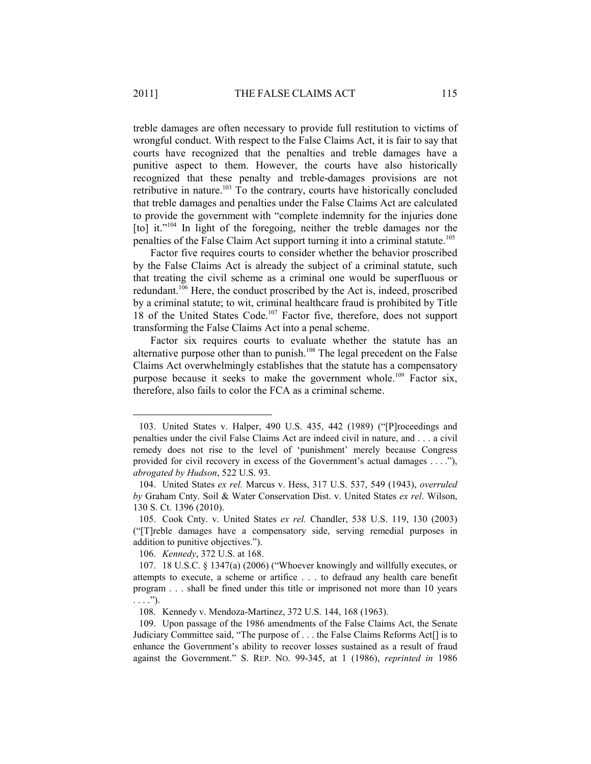treble damages are often necessary to provide full restitution to victims of wrongful conduct. With respect to the False Claims Act, it is fair to say that courts have recognized that the penalties and treble damages have a punitive aspect to them. However, the courts have also historically recognized that these penalty and treble-damages provisions are not retributive in nature.<sup>103</sup> To the contrary, courts have historically concluded that treble damages and penalties under the False Claims Act are calculated to provide the government with "complete indemnity for the injuries done [to] it."<sup>104</sup> In light of the foregoing, neither the treble damages nor the penalties of the False Claim Act support turning it into a criminal statute.105

Factor five requires courts to consider whether the behavior proscribed by the False Claims Act is already the subject of a criminal statute, such that treating the civil scheme as a criminal one would be superfluous or redundant. $106$  Here, the conduct proscribed by the Act is, indeed, proscribed by a criminal statute; to wit, criminal healthcare fraud is prohibited by Title 18 of the United States Code.<sup>107</sup> Factor five, therefore, does not support transforming the False Claims Act into a penal scheme.

Factor six requires courts to evaluate whether the statute has an alternative purpose other than to punish.<sup>108</sup> The legal precedent on the False Claims Act overwhelmingly establishes that the statute has a compensatory purpose because it seeks to make the government whole.<sup>109</sup> Factor six, therefore, also fails to color the FCA as a criminal scheme.

 <sup>103.</sup> United States v. Halper, 490 U.S. 435, 442 (1989) ("[P]roceedings and penalties under the civil False Claims Act are indeed civil in nature, and . . . a civil remedy does not rise to the level of 'punishment' merely because Congress provided for civil recovery in excess of the Government's actual damages . . . ."), *abrogated by Hudson*, 522 U.S. 93.

 <sup>104.</sup> United States *ex rel.* Marcus v. Hess, 317 U.S. 537, 549 (1943), *overruled by* Graham Cnty. Soil & Water Conservation Dist. v. United States *ex rel*. Wilson, 130 S. Ct. 1396 (2010).

 <sup>105.</sup> Cook Cnty. v. United States *ex rel.* Chandler, 538 U.S. 119, 130 (2003) ("[T]reble damages have a compensatory side, serving remedial purposes in addition to punitive objectives.").

 <sup>106.</sup> *Kennedy*, 372 U.S. at 168.

 <sup>107. 18</sup> U.S.C. § 1347(a) (2006) ("Whoever knowingly and willfully executes, or attempts to execute, a scheme or artifice . . . to defraud any health care benefit program . . . shall be fined under this title or imprisoned not more than 10 years  $\ldots$ .").

 <sup>108.</sup> Kennedy v. Mendoza-Martinez, 372 U.S. 144, 168 (1963).

 <sup>109.</sup> Upon passage of the 1986 amendments of the False Claims Act, the Senate Judiciary Committee said, "The purpose of . . . the False Claims Reforms Act[] is to enhance the Government's ability to recover losses sustained as a result of fraud against the Government." S. REP. NO. 99-345, at 1 (1986), *reprinted in* 1986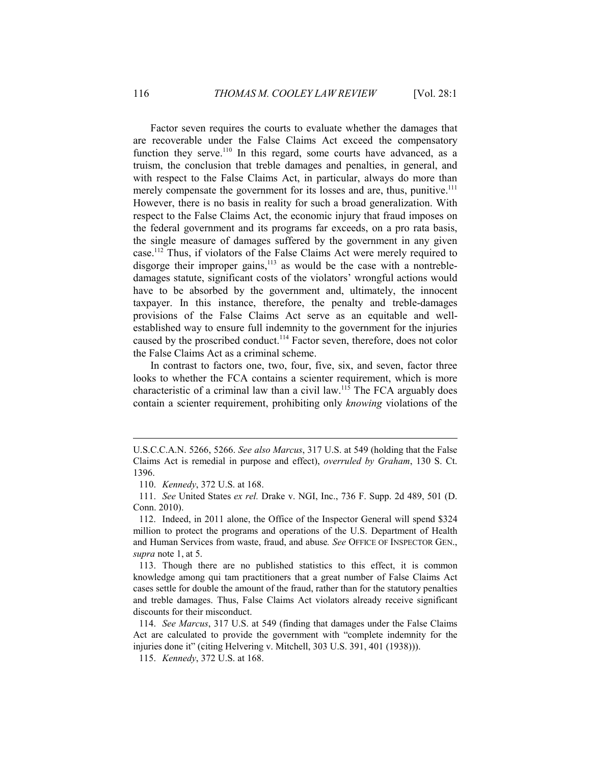Factor seven requires the courts to evaluate whether the damages that are recoverable under the False Claims Act exceed the compensatory function they serve.<sup>110</sup> In this regard, some courts have advanced, as a truism, the conclusion that treble damages and penalties, in general, and with respect to the False Claims Act, in particular, always do more than merely compensate the government for its losses and are, thus, punitive.<sup>111</sup> However, there is no basis in reality for such a broad generalization. With respect to the False Claims Act, the economic injury that fraud imposes on the federal government and its programs far exceeds, on a pro rata basis, the single measure of damages suffered by the government in any given case.112 Thus, if violators of the False Claims Act were merely required to disgorge their improper gains, $113$  as would be the case with a nontrebledamages statute, significant costs of the violators' wrongful actions would have to be absorbed by the government and, ultimately, the innocent taxpayer. In this instance, therefore, the penalty and treble-damages provisions of the False Claims Act serve as an equitable and wellestablished way to ensure full indemnity to the government for the injuries caused by the proscribed conduct.<sup>114</sup> Factor seven, therefore, does not color the False Claims Act as a criminal scheme.

In contrast to factors one, two, four, five, six, and seven, factor three looks to whether the FCA contains a scienter requirement, which is more characteristic of a criminal law than a civil law.115 The FCA arguably does contain a scienter requirement, prohibiting only *knowing* violations of the

U.S.C.C.A.N. 5266, 5266. *See also Marcus*, 317 U.S. at 549 (holding that the False Claims Act is remedial in purpose and effect), *overruled by Graham*, 130 S. Ct. 1396.

 <sup>110.</sup> *Kennedy*, 372 U.S. at 168.

 <sup>111.</sup> *See* United States *ex rel.* Drake v. NGI, Inc., 736 F. Supp. 2d 489, 501 (D. Conn. 2010).

 <sup>112.</sup> Indeed, in 2011 alone, the Office of the Inspector General will spend \$324 million to protect the programs and operations of the U.S. Department of Health and Human Services from waste, fraud, and abuse*. See* OFFICE OF INSPECTOR GEN., *supra* note 1, at 5.

 <sup>113.</sup> Though there are no published statistics to this effect, it is common knowledge among qui tam practitioners that a great number of False Claims Act cases settle for double the amount of the fraud, rather than for the statutory penalties and treble damages. Thus, False Claims Act violators already receive significant discounts for their misconduct.

 <sup>114.</sup> *See Marcus*, 317 U.S. at 549 (finding that damages under the False Claims Act are calculated to provide the government with "complete indemnity for the injuries done it" (citing Helvering v. Mitchell, 303 U.S. 391, 401 (1938))).

 <sup>115.</sup> *Kennedy*, 372 U.S. at 168.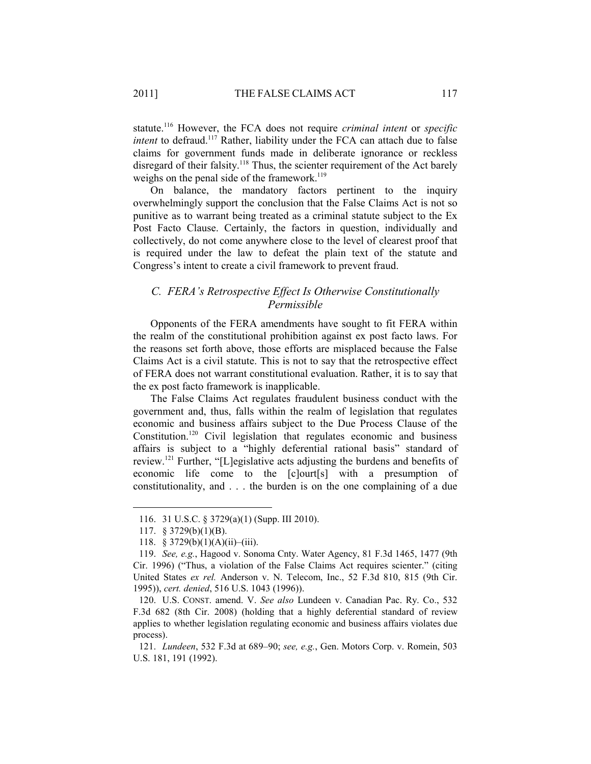statute.116 However, the FCA does not require *criminal intent* or *specific intent* to defraud.<sup>117</sup> Rather, liability under the FCA can attach due to false claims for government funds made in deliberate ignorance or reckless disregard of their falsity.<sup>118</sup> Thus, the scienter requirement of the Act barely weighs on the penal side of the framework.<sup>119</sup>

On balance, the mandatory factors pertinent to the inquiry overwhelmingly support the conclusion that the False Claims Act is not so punitive as to warrant being treated as a criminal statute subject to the Ex Post Facto Clause. Certainly, the factors in question, individually and collectively, do not come anywhere close to the level of clearest proof that is required under the law to defeat the plain text of the statute and Congress's intent to create a civil framework to prevent fraud.

# *C. FERA's Retrospective Effect Is Otherwise Constitutionally Permissible*

Opponents of the FERA amendments have sought to fit FERA within the realm of the constitutional prohibition against ex post facto laws. For the reasons set forth above, those efforts are misplaced because the False Claims Act is a civil statute. This is not to say that the retrospective effect of FERA does not warrant constitutional evaluation. Rather, it is to say that the ex post facto framework is inapplicable.

The False Claims Act regulates fraudulent business conduct with the government and, thus, falls within the realm of legislation that regulates economic and business affairs subject to the Due Process Clause of the Constitution.120 Civil legislation that regulates economic and business affairs is subject to a "highly deferential rational basis" standard of review.121 Further, "[L]egislative acts adjusting the burdens and benefits of economic life come to the [c]ourt[s] with a presumption of constitutionality, and . . . the burden is on the one complaining of a due

 <sup>116. 31</sup> U.S.C. § 3729(a)(1) (Supp. III 2010).

 <sup>117. § 3729(</sup>b)(1)(B).

 <sup>118. § 3729(</sup>b)(1)(A)(ii)–(iii).

 <sup>119.</sup> *See, e.g.*, Hagood v. Sonoma Cnty. Water Agency, 81 F.3d 1465, 1477 (9th Cir. 1996) ("Thus, a violation of the False Claims Act requires scienter." (citing United States *ex rel.* Anderson v. N. Telecom, Inc., 52 F.3d 810, 815 (9th Cir. 1995)), *cert. denied*, 516 U.S. 1043 (1996)).

 <sup>120.</sup> U.S. CONST. amend. V. *See also* Lundeen v. Canadian Pac. Ry. Co., 532 F.3d 682 (8th Cir. 2008) (holding that a highly deferential standard of review applies to whether legislation regulating economic and business affairs violates due process).

 <sup>121.</sup> *Lundeen*, 532 F.3d at 689–90; *see, e.g.*, Gen. Motors Corp. v. Romein, 503 U.S. 181, 191 (1992).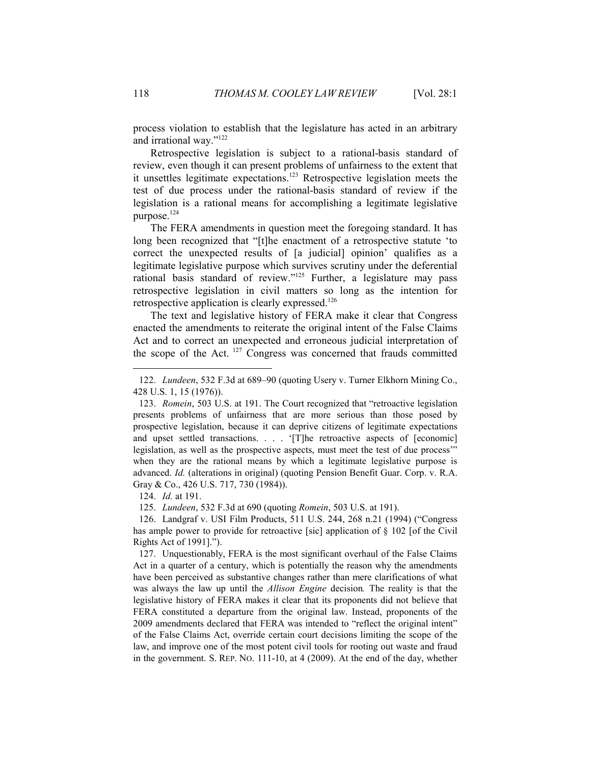process violation to establish that the legislature has acted in an arbitrary and irrational way."122

Retrospective legislation is subject to a rational-basis standard of review, even though it can present problems of unfairness to the extent that it unsettles legitimate expectations.123 Retrospective legislation meets the test of due process under the rational-basis standard of review if the legislation is a rational means for accomplishing a legitimate legislative purpose.<sup>124</sup>

The FERA amendments in question meet the foregoing standard. It has long been recognized that "[t]he enactment of a retrospective statute 'to correct the unexpected results of [a judicial] opinion' qualifies as a legitimate legislative purpose which survives scrutiny under the deferential rational basis standard of review."125 Further, a legislature may pass retrospective legislation in civil matters so long as the intention for retrospective application is clearly expressed.<sup>126</sup>

The text and legislative history of FERA make it clear that Congress enacted the amendments to reiterate the original intent of the False Claims Act and to correct an unexpected and erroneous judicial interpretation of the scope of the Act. 127 Congress was concerned that frauds committed

124. *Id.* at 191.

125. *Lundeen*, 532 F.3d at 690 (quoting *Romein*, 503 U.S. at 191).

 126. Landgraf v. USI Film Products, 511 U.S. 244, 268 n.21 (1994) ("Congress has ample power to provide for retroactive [sic] application of § 102 [of the Civil Rights Act of 1991].").

 127. Unquestionably, FERA is the most significant overhaul of the False Claims Act in a quarter of a century, which is potentially the reason why the amendments have been perceived as substantive changes rather than mere clarifications of what was always the law up until the *Allison Engine* decision*.* The reality is that the legislative history of FERA makes it clear that its proponents did not believe that FERA constituted a departure from the original law. Instead, proponents of the 2009 amendments declared that FERA was intended to "reflect the original intent" of the False Claims Act, override certain court decisions limiting the scope of the law, and improve one of the most potent civil tools for rooting out waste and fraud in the government. S. REP. NO. 111-10, at 4 (2009). At the end of the day, whether

 <sup>122.</sup> *Lundeen*, 532 F.3d at 689–90 (quoting Usery v. Turner Elkhorn Mining Co., 428 U.S. 1, 15 (1976)).

 <sup>123.</sup> *Romein*, 503 U.S. at 191. The Court recognized that "retroactive legislation presents problems of unfairness that are more serious than those posed by prospective legislation, because it can deprive citizens of legitimate expectations and upset settled transactions. . . . '[T]he retroactive aspects of [economic] legislation, as well as the prospective aspects, must meet the test of due process'" when they are the rational means by which a legitimate legislative purpose is advanced. *Id.* (alterations in original) (quoting Pension Benefit Guar. Corp. v. R.A. Gray & Co., 426 U.S. 717, 730 (1984)).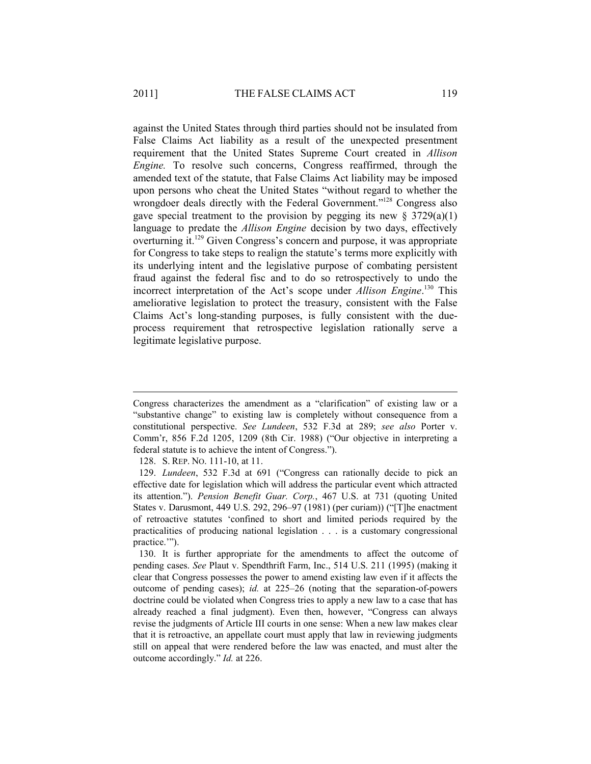against the United States through third parties should not be insulated from False Claims Act liability as a result of the unexpected presentment requirement that the United States Supreme Court created in *Allison Engine.* To resolve such concerns, Congress reaffirmed, through the amended text of the statute, that False Claims Act liability may be imposed upon persons who cheat the United States "without regard to whether the wrongdoer deals directly with the Federal Government."<sup>128</sup> Congress also gave special treatment to the provision by pegging its new  $\S 3729(a)(1)$ language to predate the *Allison Engine* decision by two days, effectively overturning it.129 Given Congress's concern and purpose, it was appropriate for Congress to take steps to realign the statute's terms more explicitly with its underlying intent and the legislative purpose of combating persistent fraud against the federal fisc and to do so retrospectively to undo the incorrect interpretation of the Act's scope under *Allison Engine*. 130 This ameliorative legislation to protect the treasury, consistent with the False Claims Act's long-standing purposes, is fully consistent with the dueprocess requirement that retrospective legislation rationally serve a legitimate legislative purpose.

Congress characterizes the amendment as a "clarification" of existing law or a "substantive change" to existing law is completely without consequence from a constitutional perspective. *See Lundeen*, 532 F.3d at 289; *see also* Porter v. Comm'r, 856 F.2d 1205, 1209 (8th Cir. 1988) ("Our objective in interpreting a federal statute is to achieve the intent of Congress.").

 <sup>128.</sup> S. REP. NO. 111-10, at 11.

 <sup>129.</sup> *Lundeen*, 532 F.3d at 691 ("Congress can rationally decide to pick an effective date for legislation which will address the particular event which attracted its attention."). *Pension Benefit Guar. Corp.*, 467 U.S. at 731 (quoting United States v. Darusmont, 449 U.S. 292, 296–97 (1981) (per curiam)) ("[T]he enactment of retroactive statutes 'confined to short and limited periods required by the practicalities of producing national legislation . . . is a customary congressional practice.'").

 <sup>130.</sup> It is further appropriate for the amendments to affect the outcome of pending cases. *See* Plaut v. Spendthrift Farm, Inc., 514 U.S. 211 (1995) (making it clear that Congress possesses the power to amend existing law even if it affects the outcome of pending cases); *id.* at 225–26 (noting that the separation-of-powers doctrine could be violated when Congress tries to apply a new law to a case that has already reached a final judgment). Even then, however, "Congress can always revise the judgments of Article III courts in one sense: When a new law makes clear that it is retroactive, an appellate court must apply that law in reviewing judgments still on appeal that were rendered before the law was enacted, and must alter the outcome accordingly." *Id.* at 226.